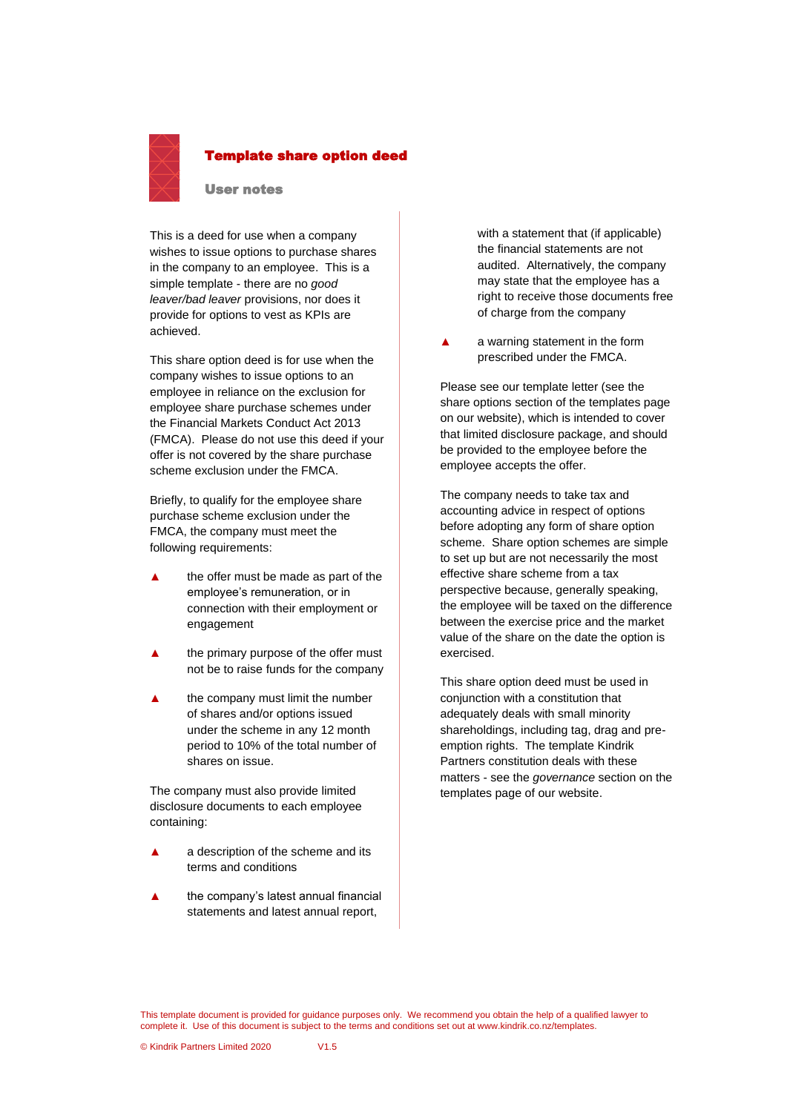

## Template share option deed

#### User notes

This is a deed for use when a company wishes to issue options to purchase shares in the company to an employee. This is a simple template - there are no *good leaver/bad leaver* provisions, nor does it provide for options to vest as KPIs are achieved.

This share option deed is for use when the company wishes to issue options to an employee in reliance on the exclusion for employee share purchase schemes under the Financial Markets Conduct Act 2013 (FMCA). Please do not use this deed if your offer is not covered by the share purchase scheme exclusion under the FMCA.

Briefly, to qualify for the employee share purchase scheme exclusion under the FMCA, the company must meet the following requirements:

- **▲** the offer must be made as part of the employee's remuneration, or in connection with their employment or engagement
- the primary purpose of the offer must not be to raise funds for the company
- the company must limit the number of shares and/or options issued under the scheme in any 12 month period to 10% of the total number of shares on issue.

The company must also provide limited disclosure documents to each employee containing:

- a description of the scheme and its terms and conditions
- **▲** the company's latest annual financial statements and latest annual report,

with a statement that (if applicable) the financial statements are not audited. Alternatively, the company may state that the employee has a right to receive those documents free of charge from the company

a warning statement in the form prescribed under the FMCA.

Please see our template letter (see the share options section of the templates page on our website), which is intended to cover that limited disclosure package, and should be provided to the employee before the employee accepts the offer.

The company needs to take tax and accounting advice in respect of options before adopting any form of share option scheme. Share option schemes are simple to set up but are not necessarily the most effective share scheme from a tax perspective because, generally speaking, the employee will be taxed on the difference between the exercise price and the market value of the share on the date the option is exercised.

This share option deed must be used in conjunction with a constitution that adequately deals with small minority shareholdings, including tag, drag and preemption rights. The template Kindrik Partners constitution deals with these matters - see the *governance* section on the templates page of our website.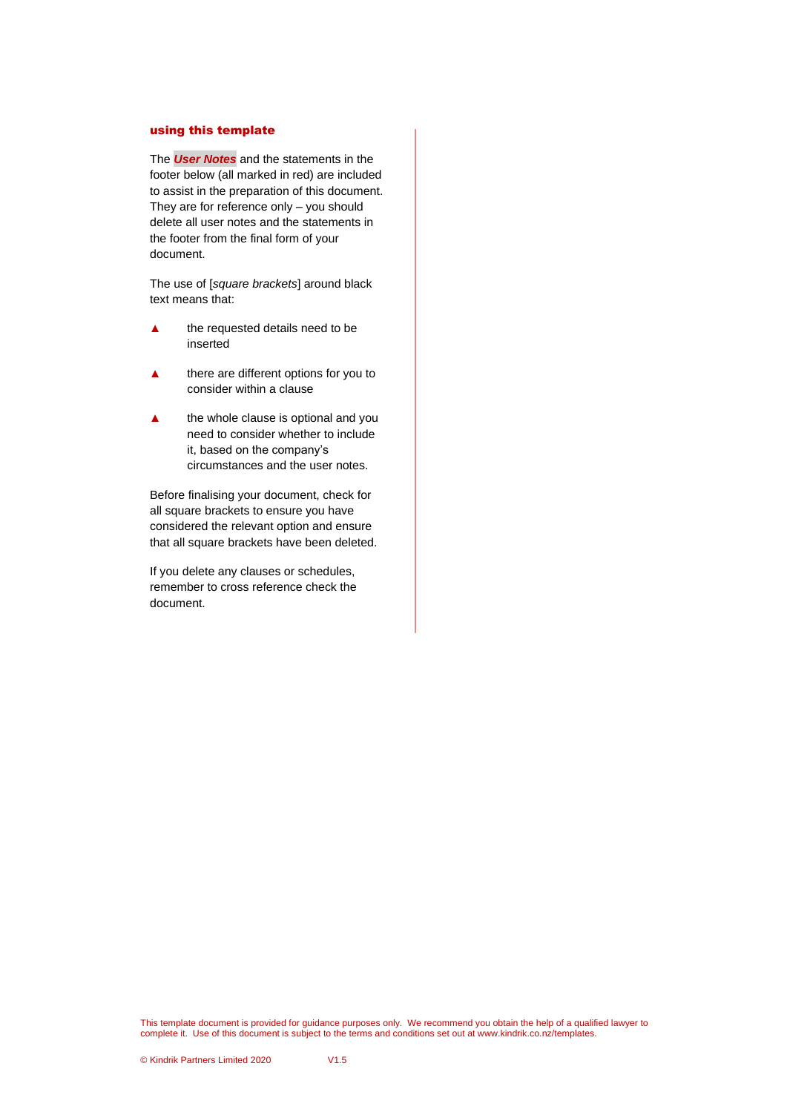#### using this template

The *User Notes* and the statements in the footer below (all marked in red) are included to assist in the preparation of this document. They are for reference only – you should delete all user notes and the statements in the footer from the final form of your document.

The use of [*square brackets*] around black text means that:

- **▲** the requested details need to be inserted
- **▲** there are different options for you to consider within a clause
- the whole clause is optional and you need to consider whether to include it, based on the company's circumstances and the user notes.

Before finalising your document, check for all square brackets to ensure you have considered the relevant option and ensure that all square brackets have been deleted.

If you delete any clauses or schedules, remember to cross reference check the document.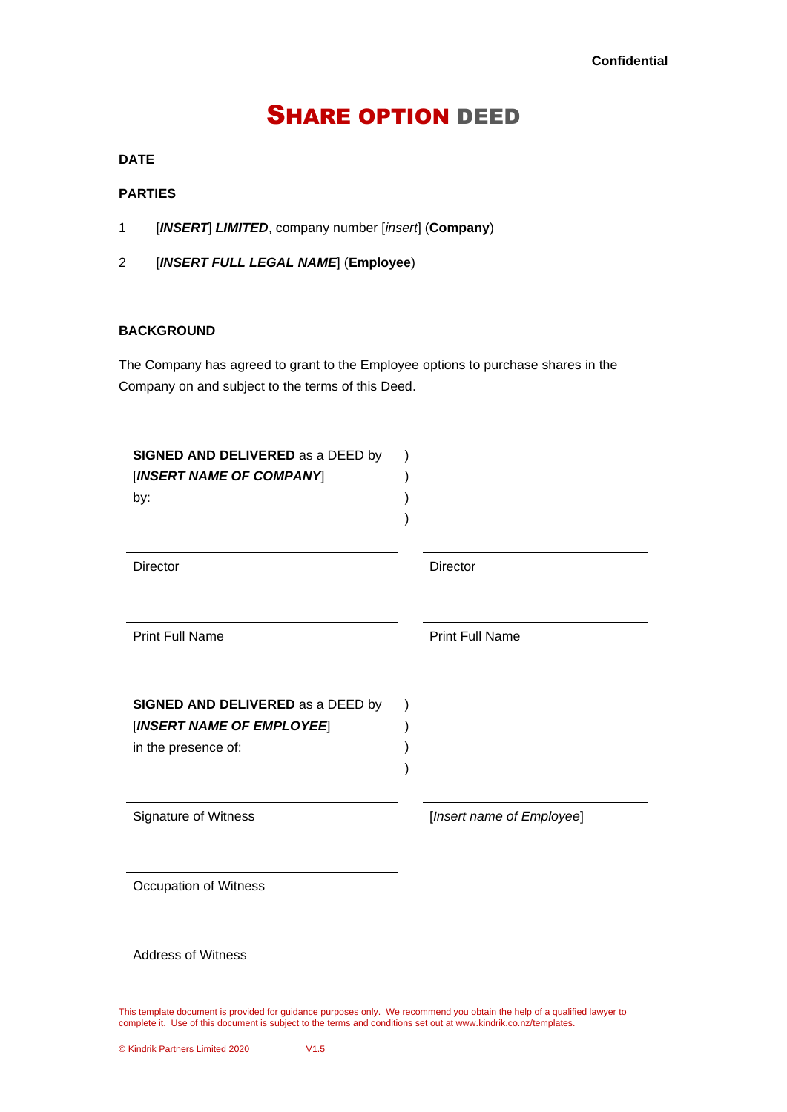# SHARE OPTION DEED

#### **DATE**

#### **PARTIES**

- 1 [*INSERT*] *LIMITED*, company number [*insert*] (**Company**)
- 2 [*INSERT FULL LEGAL NAME*] (**Employee**)

# **BACKGROUND**

The Company has agreed to grant to the Employee options to purchase shares in the Company on and subject to the terms of this Deed.

| SIGNED AND DELIVERED as a DEED by<br>[INSERT NAME OF COMPANY]<br>by: |                           |
|----------------------------------------------------------------------|---------------------------|
|                                                                      |                           |
| <b>Director</b>                                                      | <b>Director</b>           |
|                                                                      |                           |
| <b>Print Full Name</b>                                               | <b>Print Full Name</b>    |
|                                                                      |                           |
| <b>SIGNED AND DELIVERED</b> as a DEED by                             |                           |
| [INSERT NAME OF EMPLOYEE]                                            |                           |
| in the presence of:                                                  |                           |
|                                                                      |                           |
| Signature of Witness                                                 | [Insert name of Employee] |
|                                                                      |                           |
| <b>Occupation of Witness</b>                                         |                           |
|                                                                      |                           |
| <b>Address of Witness</b>                                            |                           |
|                                                                      |                           |

This template document is provided for guidance purposes only. We recommend you obtain the help of a qualified lawyer to complete it. Use of this document is subject to the terms and conditions set out at www.kindrik.co.nz/templates.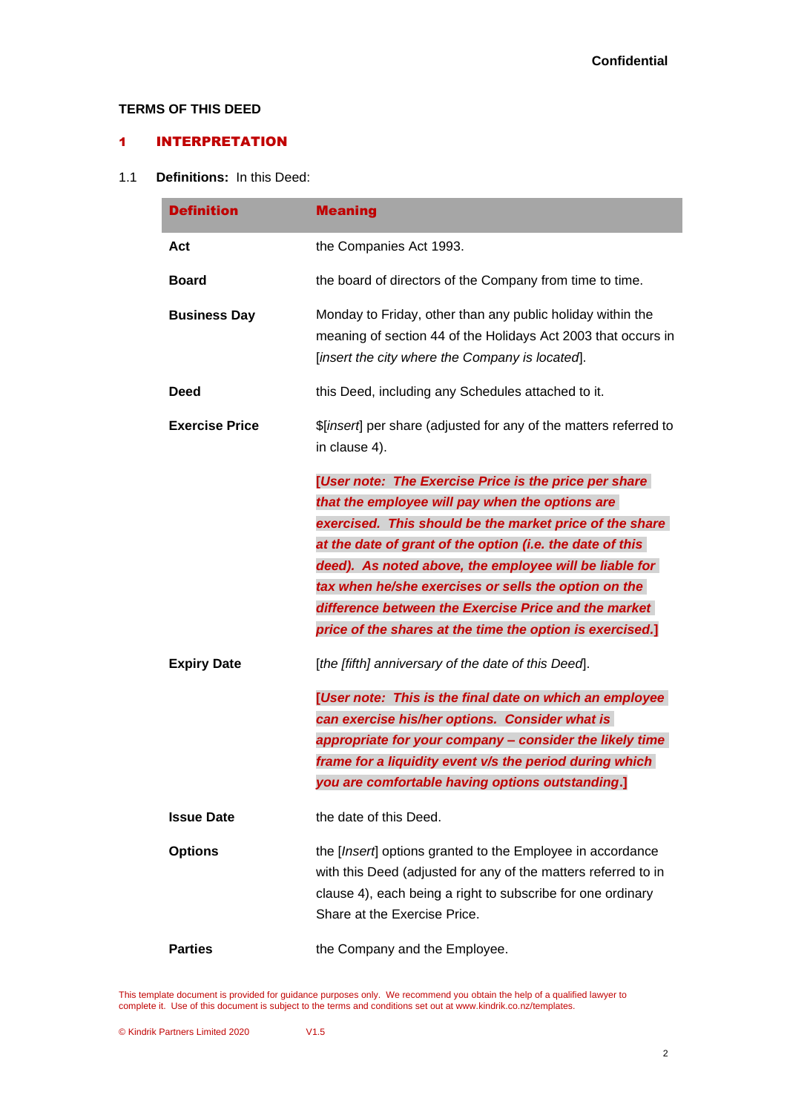# **TERMS OF THIS DEED**

# 1 INTERPRETATION

## 1.1 **Definitions:** In this Deed:

| <b>Definition</b>     | <b>Meaning</b>                                                                                                                                                                                                              |
|-----------------------|-----------------------------------------------------------------------------------------------------------------------------------------------------------------------------------------------------------------------------|
| Act                   | the Companies Act 1993.                                                                                                                                                                                                     |
| <b>Board</b>          | the board of directors of the Company from time to time.                                                                                                                                                                    |
| <b>Business Day</b>   | Monday to Friday, other than any public holiday within the<br>meaning of section 44 of the Holidays Act 2003 that occurs in<br>[insert the city where the Company is located].                                              |
| <b>Deed</b>           | this Deed, including any Schedules attached to it.                                                                                                                                                                          |
| <b>Exercise Price</b> | \$[inserf] per share (adjusted for any of the matters referred to<br>in clause 4).                                                                                                                                          |
|                       | [User note: The Exercise Price is the price per share                                                                                                                                                                       |
|                       | that the employee will pay when the options are                                                                                                                                                                             |
|                       | exercised. This should be the market price of the share                                                                                                                                                                     |
|                       | at the date of grant of the option (i.e. the date of this<br>deed). As noted above, the employee will be liable for                                                                                                         |
|                       | tax when he/she exercises or sells the option on the                                                                                                                                                                        |
|                       | difference between the Exercise Price and the market                                                                                                                                                                        |
|                       | price of the shares at the time the option is exercised.]                                                                                                                                                                   |
| <b>Expiry Date</b>    | [the [fifth] anniversary of the date of this Deed].                                                                                                                                                                         |
|                       | [User note: This is the final date on which an employee                                                                                                                                                                     |
|                       | can exercise his/her options. Consider what is                                                                                                                                                                              |
|                       | appropriate for your company - consider the likely time                                                                                                                                                                     |
|                       | frame for a liquidity event v/s the period during which                                                                                                                                                                     |
|                       | you are comfortable having options outstanding.]                                                                                                                                                                            |
| <b>Issue Date</b>     | the date of this Deed.                                                                                                                                                                                                      |
| <b>Options</b>        | the [Insert] options granted to the Employee in accordance<br>with this Deed (adjusted for any of the matters referred to in<br>clause 4), each being a right to subscribe for one ordinary<br>Share at the Exercise Price. |
| <b>Parties</b>        | the Company and the Employee.                                                                                                                                                                                               |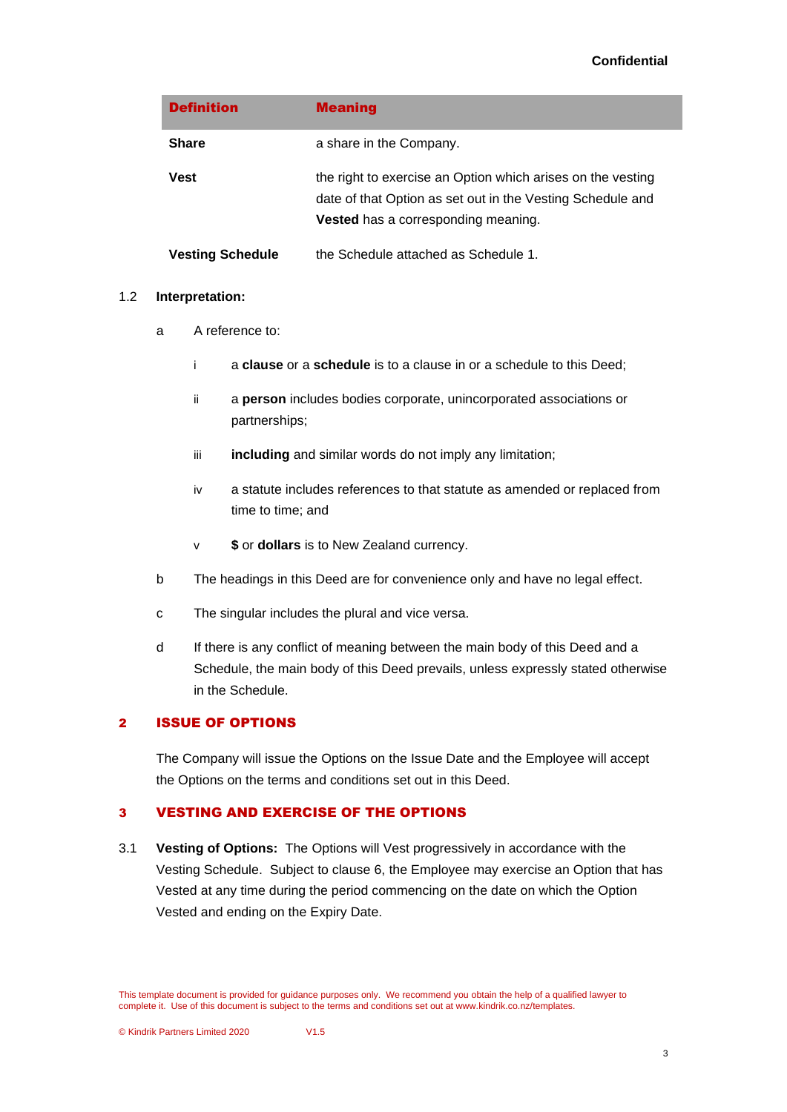# **Confidential**

| <b>Definition</b>       | <b>Meaning</b>                                                                                                                                                          |
|-------------------------|-------------------------------------------------------------------------------------------------------------------------------------------------------------------------|
| <b>Share</b>            | a share in the Company.                                                                                                                                                 |
| Vest                    | the right to exercise an Option which arises on the vesting<br>date of that Option as set out in the Vesting Schedule and<br><b>Vested</b> has a corresponding meaning. |
| <b>Vesting Schedule</b> | the Schedule attached as Schedule 1.                                                                                                                                    |

## 1.2 **Interpretation:**

- a A reference to:
	- i a **clause** or a **schedule** is to a clause in or a schedule to this Deed;
	- ii a **person** includes bodies corporate, unincorporated associations or partnerships;
	- iii **including** and similar words do not imply any limitation;
	- iv a statute includes references to that statute as amended or replaced from time to time; and
	- v **\$** or **dollars** is to New Zealand currency.
- b The headings in this Deed are for convenience only and have no legal effect.
- c The singular includes the plural and vice versa.
- d If there is any conflict of meaning between the main body of this Deed and a Schedule, the main body of this Deed prevails, unless expressly stated otherwise in the Schedule.

# 2 ISSUE OF OPTIONS

The Company will issue the Options on the Issue Date and the Employee will accept the Options on the terms and conditions set out in this Deed.

## 3 VESTING AND EXERCISE OF THE OPTIONS

3.1 **Vesting of Options:** The Options will Vest progressively in accordance with the Vesting Schedule. Subject to clause [6,](#page-6-0) the Employee may exercise an Option that has Vested at any time during the period commencing on the date on which the Option Vested and ending on the Expiry Date.

This template document is provided for guidance purposes only. We recommend you obtain the help of a qualified lawyer to complete it. Use of this document is subject to the terms and conditions set out at www.kindrik.co.nz/templates.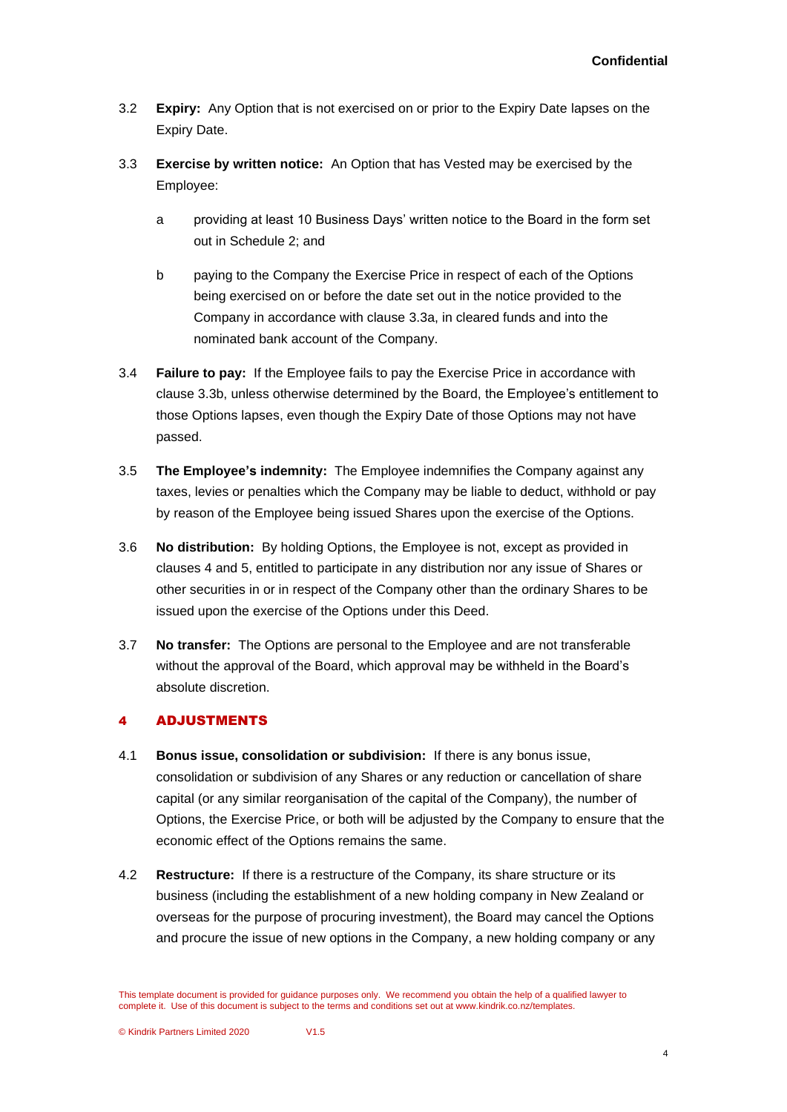- 3.2 **Expiry:** Any Option that is not exercised on or prior to the Expiry Date lapses on the Expiry Date.
- <span id="page-5-2"></span><span id="page-5-1"></span>3.3 **Exercise by written notice:** An Option that has Vested may be exercised by the Employee:
	- a providing at least 10 Business Days' written notice to the Board in the form set out in Schedule 2; and
	- b paying to the Company the Exercise Price in respect of each of the Options being exercised on or before the date set out in the notice provided to the Company in accordance with clause [3.3](#page-5-1)[a,](#page-5-2) in cleared funds and into the nominated bank account of the Company.
- <span id="page-5-3"></span>3.4 **Failure to pay:** If the Employee fails to pay the Exercise Price in accordance with clause [3.3b,](#page-5-3) unless otherwise determined by the Board, the Employee's entitlement to those Options lapses, even though the Expiry Date of those Options may not have passed.
- 3.5 **The Employee's indemnity:** The Employee indemnifies the Company against any taxes, levies or penalties which the Company may be liable to deduct, withhold or pay by reason of the Employee being issued Shares upon the exercise of the Options.
- 3.6 **No distribution:** By holding Options, the Employee is not, except as provided in clauses [4](#page-5-0) and [5,](#page-6-1) entitled to participate in any distribution nor any issue of Shares or other securities in or in respect of the Company other than the ordinary Shares to be issued upon the exercise of the Options under this Deed.
- 3.7 **No transfer:** The Options are personal to the Employee and are not transferable without the approval of the Board, which approval may be withheld in the Board's absolute discretion.

# <span id="page-5-0"></span>4 ADJUSTMENTS

- 4.1 **Bonus issue, consolidation or subdivision:** If there is any bonus issue, consolidation or subdivision of any Shares or any reduction or cancellation of share capital (or any similar reorganisation of the capital of the Company), the number of Options, the Exercise Price, or both will be adjusted by the Company to ensure that the economic effect of the Options remains the same.
- 4.2 **Restructure:** If there is a restructure of the Company, its share structure or its business (including the establishment of a new holding company in New Zealand or overseas for the purpose of procuring investment), the Board may cancel the Options and procure the issue of new options in the Company, a new holding company or any

This template document is provided for guidance purposes only. We recommend you obtain the help of a qualified lawyer to complete it. Use of this document is subject to the terms and conditions set out at www.kindrik.co.nz/templates.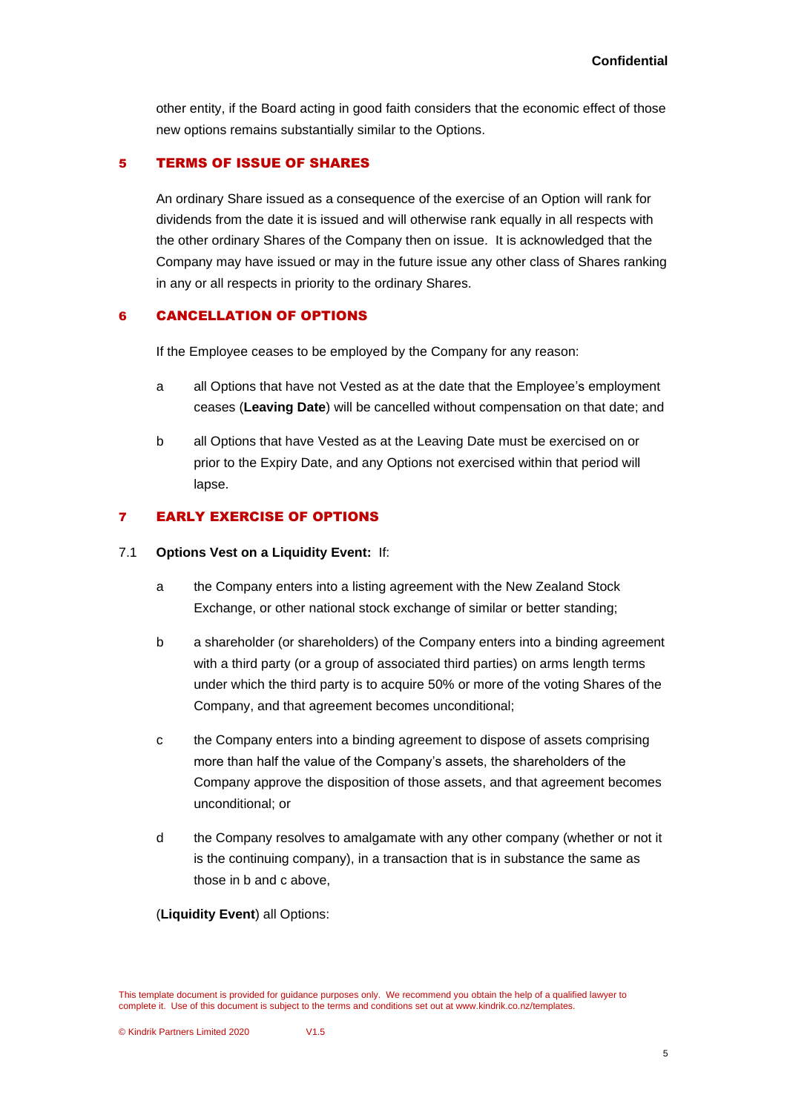other entity, if the Board acting in good faith considers that the economic effect of those new options remains substantially similar to the Options.

#### <span id="page-6-1"></span>5 TERMS OF ISSUE OF SHARES

An ordinary Share issued as a consequence of the exercise of an Option will rank for dividends from the date it is issued and will otherwise rank equally in all respects with the other ordinary Shares of the Company then on issue. It is acknowledged that the Company may have issued or may in the future issue any other class of Shares ranking in any or all respects in priority to the ordinary Shares.

#### <span id="page-6-0"></span>6 CANCELLATION OF OPTIONS

If the Employee ceases to be employed by the Company for any reason:

- a all Options that have not Vested as at the date that the Employee's employment ceases (**Leaving Date**) will be cancelled without compensation on that date; and
- b all Options that have Vested as at the Leaving Date must be exercised on or prior to the Expiry Date, and any Options not exercised within that period will lapse.

# 7 EARLY EXERCISE OF OPTIONS

#### 7.1 **Options Vest on a Liquidity Event:** If:

- a the Company enters into a listing agreement with the New Zealand Stock Exchange, or other national stock exchange of similar or better standing;
- b a shareholder (or shareholders) of the Company enters into a binding agreement with a third party (or a group of associated third parties) on arms length terms under which the third party is to acquire 50% or more of the voting Shares of the Company, and that agreement becomes unconditional;
- c the Company enters into a binding agreement to dispose of assets comprising more than half the value of the Company's assets, the shareholders of the Company approve the disposition of those assets, and that agreement becomes unconditional; or
- d the Company resolves to amalgamate with any other company (whether or not it is the continuing company), in a transaction that is in substance the same as those in b and c above,

#### (**Liquidity Event**) all Options:

This template document is provided for guidance purposes only. We recommend you obtain the help of a qualified lawyer to complete it. Use of this document is subject to the terms and conditions set out at www.kindrik.co.nz/templates.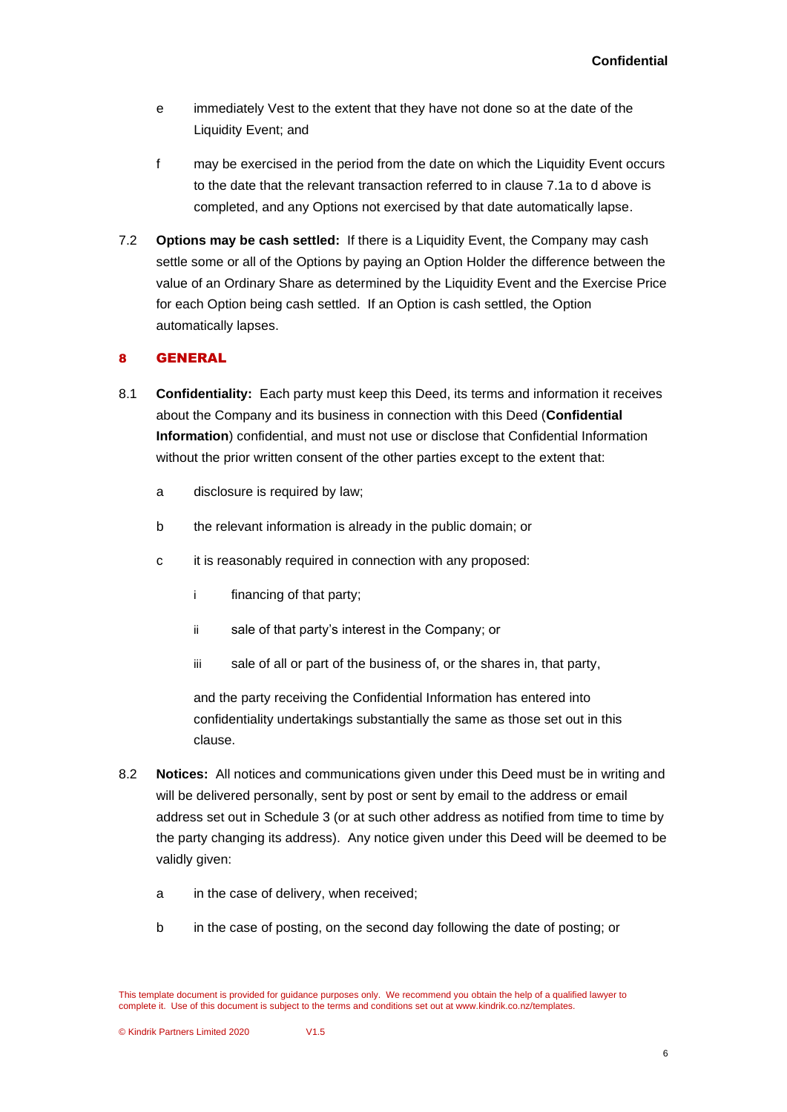- e immediately Vest to the extent that they have not done so at the date of the Liquidity Event; and
- f may be exercised in the period from the date on which the Liquidity Event occurs to the date that the relevant transaction referred to in clause 7.1a to d above is completed, and any Options not exercised by that date automatically lapse.
- 7.2 **Options may be cash settled:** If there is a Liquidity Event, the Company may cash settle some or all of the Options by paying an Option Holder the difference between the value of an Ordinary Share as determined by the Liquidity Event and the Exercise Price for each Option being cash settled. If an Option is cash settled, the Option automatically lapses.

# 8 GENERAL

- 8.1 **Confidentiality:** Each party must keep this Deed, its terms and information it receives about the Company and its business in connection with this Deed (**Confidential Information**) confidential, and must not use or disclose that Confidential Information without the prior written consent of the other parties except to the extent that:
	- a disclosure is required by law;
	- b the relevant information is already in the public domain; or
	- c it is reasonably required in connection with any proposed:
		- i financing of that party;
		- ii sale of that party's interest in the Company; or
		- iii sale of all or part of the business of, or the shares in, that party,

and the party receiving the Confidential Information has entered into confidentiality undertakings substantially the same as those set out in this clause.

- 8.2 **Notices:** All notices and communications given under this Deed must be in writing and will be delivered personally, sent by post or sent by email to the address or email address set out in Schedule 3 (or at such other address as notified from time to time by the party changing its address). Any notice given under this Deed will be deemed to be validly given:
	- a in the case of delivery, when received;
	- b in the case of posting, on the second day following the date of posting; or

This template document is provided for guidance purposes only. We recommend you obtain the help of a qualified lawyer to complete it. Use of this document is subject to the terms and conditions set out at www.kindrik.co.nz/templates.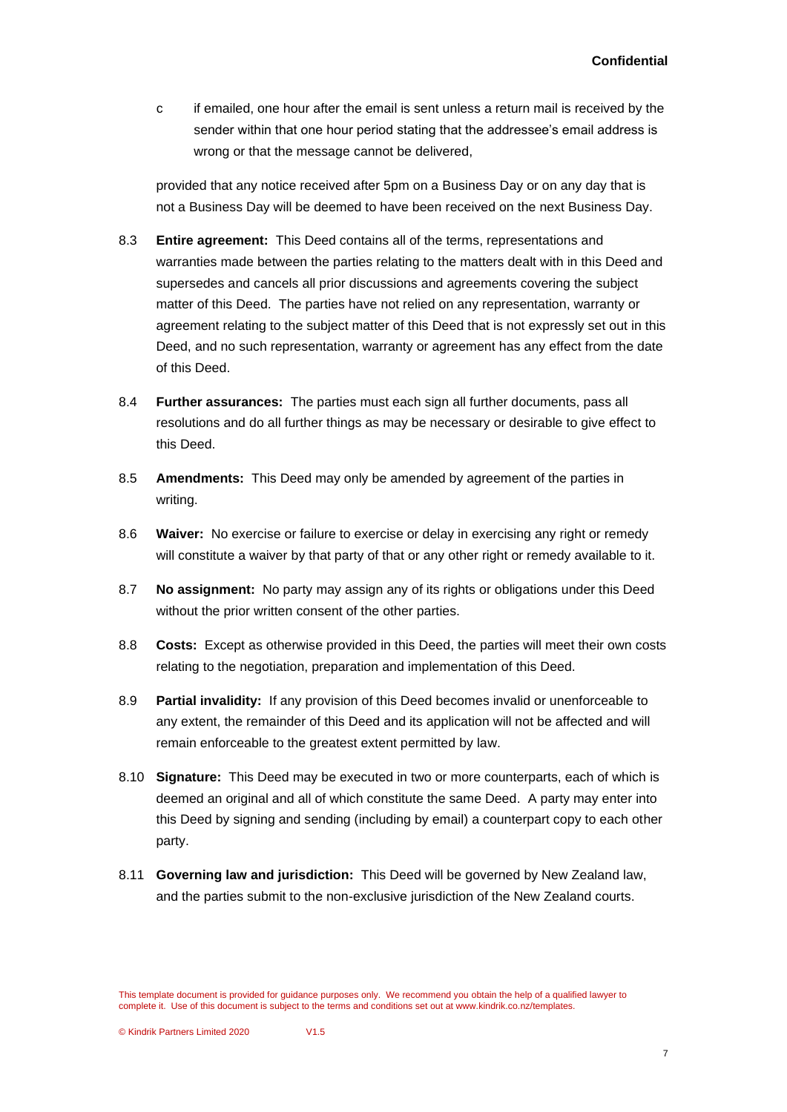c if emailed, one hour after the email is sent unless a return mail is received by the sender within that one hour period stating that the addressee's email address is wrong or that the message cannot be delivered,

provided that any notice received after 5pm on a Business Day or on any day that is not a Business Day will be deemed to have been received on the next Business Day.

- 8.3 **Entire agreement:** This Deed contains all of the terms, representations and warranties made between the parties relating to the matters dealt with in this Deed and supersedes and cancels all prior discussions and agreements covering the subject matter of this Deed. The parties have not relied on any representation, warranty or agreement relating to the subject matter of this Deed that is not expressly set out in this Deed, and no such representation, warranty or agreement has any effect from the date of this Deed.
- 8.4 **Further assurances:** The parties must each sign all further documents, pass all resolutions and do all further things as may be necessary or desirable to give effect to this Deed.
- 8.5 **Amendments:** This Deed may only be amended by agreement of the parties in writing.
- 8.6 **Waiver:** No exercise or failure to exercise or delay in exercising any right or remedy will constitute a waiver by that party of that or any other right or remedy available to it.
- 8.7 **No assignment:** No party may assign any of its rights or obligations under this Deed without the prior written consent of the other parties.
- 8.8 **Costs:** Except as otherwise provided in this Deed, the parties will meet their own costs relating to the negotiation, preparation and implementation of this Deed.
- 8.9 **Partial invalidity:** If any provision of this Deed becomes invalid or unenforceable to any extent, the remainder of this Deed and its application will not be affected and will remain enforceable to the greatest extent permitted by law.
- 8.10 **Signature:** This Deed may be executed in two or more counterparts, each of which is deemed an original and all of which constitute the same Deed. A party may enter into this Deed by signing and sending (including by email) a counterpart copy to each other party.
- 8.11 **Governing law and jurisdiction:** This Deed will be governed by New Zealand law, and the parties submit to the non-exclusive jurisdiction of the New Zealand courts.

This template document is provided for guidance purposes only. We recommend you obtain the help of a qualified lawyer to complete it. Use of this document is subject to the terms and conditions set out at www.kindrik.co.nz/templates.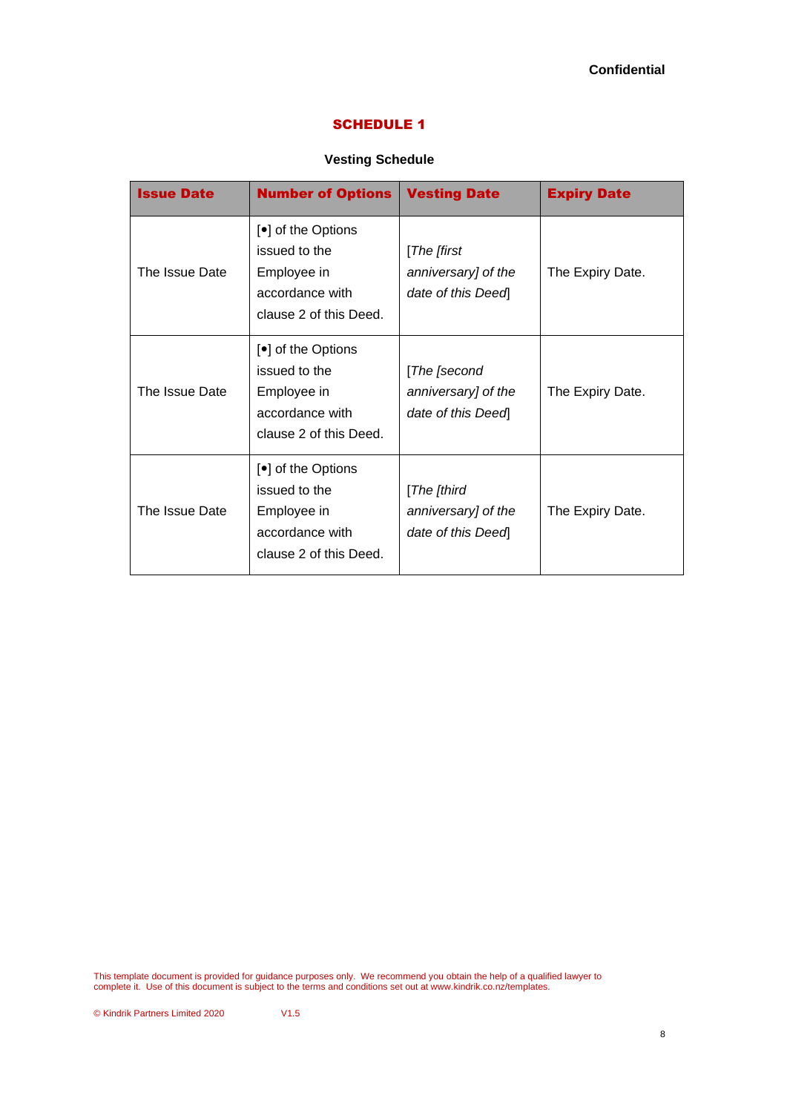**Confidential**

# SCHEDULE 1

# **Vesting Schedule**

| <b>Issue Date</b> | <b>Number of Options</b>                                                                                  | <b>Vesting Date</b>                                      | <b>Expiry Date</b> |
|-------------------|-----------------------------------------------------------------------------------------------------------|----------------------------------------------------------|--------------------|
| The Issue Date    | [ $\bullet$ ] of the Options<br>issued to the<br>Employee in<br>accordance with<br>clause 2 of this Deed. | [The [first]<br>anniversary] of the<br>date of this Deed | The Expiry Date.   |
| The Issue Date    | [ $\bullet$ ] of the Options<br>issued to the<br>Employee in<br>accordance with<br>clause 2 of this Deed. | [The [second<br>anniversary] of the<br>date of this Deed | The Expiry Date.   |
| The Issue Date    | [ $\bullet$ ] of the Options<br>issued to the<br>Employee in<br>accordance with<br>clause 2 of this Deed. | [The [third<br>anniversary] of the<br>date of this Deed  | The Expiry Date.   |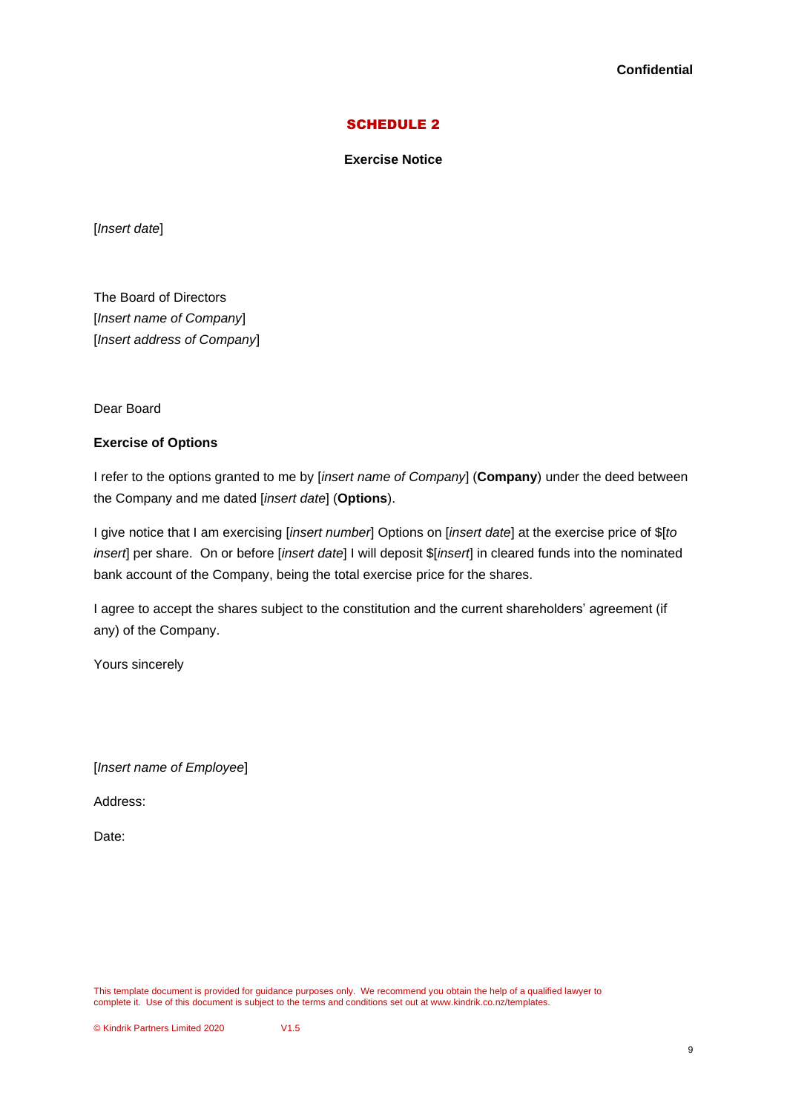## SCHEDULE 2

**Exercise Notice**

[*Insert date*]

The Board of Directors [*Insert name of Company*] [*Insert address of Company*]

Dear Board

## **Exercise of Options**

I refer to the options granted to me by [*insert name of Company*] (**Company**) under the deed between the Company and me dated [*insert date*] (**Options**).

I give notice that I am exercising [*insert number*] Options on [*insert date*] at the exercise price of \$[*to insert*] per share. On or before [*insert date*] I will deposit \$[*insert*] in cleared funds into the nominated bank account of the Company, being the total exercise price for the shares.

I agree to accept the shares subject to the constitution and the current shareholders' agreement (if any) of the Company.

Yours sincerely

[*Insert name of Employee*]

Address:

Date: